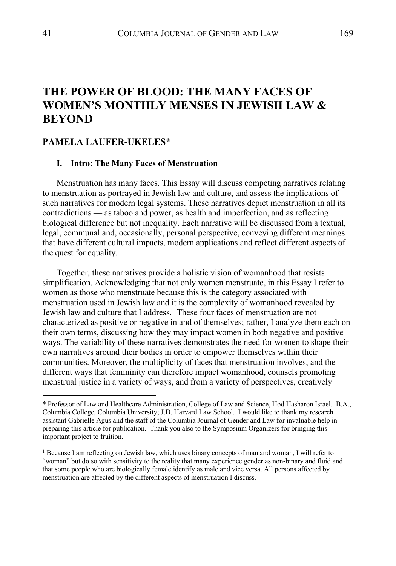# **THE POWER OF BLOOD: THE MANY FACES OF WOMEN'S MONTHLY MENSES IN JEWISH LAW & BEYOND**

## **PAMELA LAUFER-UKELES\***

#### **I. Intro: The Many Faces of Menstruation**

Menstruation has many faces. This Essay will discuss competing narratives relating to menstruation as portrayed in Jewish law and culture, and assess the implications of such narratives for modern legal systems. These narratives depict menstruation in all its contradictions — as taboo and power, as health and imperfection, and as reflecting biological difference but not inequality. Each narrative will be discussed from a textual, legal, communal and, occasionally, personal perspective, conveying different meanings that have different cultural impacts, modern applications and reflect different aspects of the quest for equality.

Together, these narratives provide a holistic vision of womanhood that resists simplification. Acknowledging that not only women menstruate, in this Essay I refer to women as those who menstruate because this is the category associated with menstruation used in Jewish law and it is the complexity of womanhood revealed by Jewish law and culture that I address.<sup>1</sup> These four faces of menstruation are not characterized as positive or negative in and of themselves; rather, I analyze them each on their own terms, discussing how they may impact women in both negative and positive ways. The variability of these narratives demonstrates the need for women to shape their own narratives around their bodies in order to empower themselves within their communities. Moreover, the multiplicity of faces that menstruation involves, and the different ways that femininity can therefore impact womanhood, counsels promoting menstrual justice in a variety of ways, and from a variety of perspectives, creatively

<sup>\*</sup> Professor of Law and Healthcare Administration, College of Law and Science, Hod Hasharon Israel. B.A., Columbia College, Columbia University; J.D. Harvard Law School. I would like to thank my research assistant Gabrielle Agus and the staff of the Columbia Journal of Gender and Law for invaluable help in preparing this article for publication. Thank you also to the Symposium Organizers for bringing this important project to fruition.

<sup>1</sup> Because I am reflecting on Jewish law, which uses binary concepts of man and woman, I will refer to "woman" but do so with sensitivity to the reality that many experience gender as non-binary and fluid and that some people who are biologically female identify as male and vice versa. All persons affected by menstruation are affected by the different aspects of menstruation I discuss.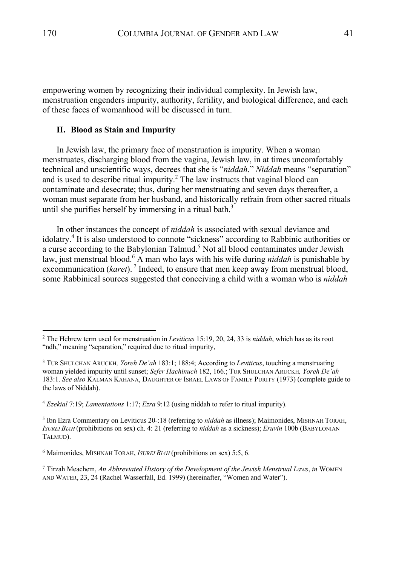empowering women by recognizing their individual complexity. In Jewish law, menstruation engenders impurity, authority, fertility, and biological difference, and each of these faces of womanhood will be discussed in turn.

#### **II. Blood as Stain and Impurity**

In Jewish law, the primary face of menstruation is impurity. When a woman menstruates, discharging blood from the vagina, Jewish law, in at times uncomfortably technical and unscientific ways, decrees that she is "*niddah*." *Niddah* means "separation" and is used to describe ritual impurity.<sup>2</sup> The law instructs that vaginal blood can contaminate and desecrate; thus, during her menstruating and seven days thereafter, a woman must separate from her husband, and historically refrain from other sacred rituals until she purifies herself by immersing in a ritual bath. $3$ 

In other instances the concept of *niddah* is associated with sexual deviance and idolatry. <sup>4</sup> It is also understood to connote "sickness" according to Rabbinic authorities or a curse according to the Babylonian Talmud.<sup>5</sup> Not all blood contaminates under Jewish law, just menstrual blood.<sup>6</sup> A man who lays with his wife during *niddah* is punishable by excommunication (*karet*).<sup>7</sup> Indeed, to ensure that men keep away from menstrual blood, some Rabbinical sources suggested that conceiving a child with a woman who is *niddah*

<sup>2</sup> The Hebrew term used for menstruation in *Leviticus* 15:19, 20, 24, 33 is *niddah*, which has as its root "ndh," meaning "separation," required due to ritual impurity,

<sup>3</sup> TUR SHULCHAN ARUCKH*, Yoreh De'ah* 183:1; 188:4; According to *Leviticus*, touching a menstruating woman yielded impurity until sunset; *Sefer Hachinuch* 182, 166.; TUR SHULCHAN ARUCKH*, Yoreh De'ah* 183:1. *See also* KALMAN KAHANA, DAUGHTER OF ISRAEL LAWS OF FAMILY PURITY (1973) (complete guide to the laws of Niddah).

<sup>4</sup> *Ezekial* 7:19; *Lamentations* 1:17; *Ezra* 9:12 (using niddah to refer to ritual impurity).

<sup>5</sup> Ibn Ezra Commentary on Leviticus 20-:18 (referring to *niddah* as illness); Maimonides, MISHNAH TORAH, *ISUREI BIAH* (prohibitions on sex) ch. 4: 21 (referring to *niddah* as a sickness); *Eruvin* 100b (BABYLONIAN TALMUD).

<sup>6</sup> Maimonides, MISHNAH TORAH, *ISUREI BIAH* (prohibitions on sex) 5:5, 6.

<sup>7</sup> Tirzah Meachem, *An Abbreviated History of the Development of the Jewish Menstrual Laws*, *in* WOMEN AND WATER, 23, 24 (Rachel Wasserfall, Ed. 1999) (hereinafter, "Women and Water").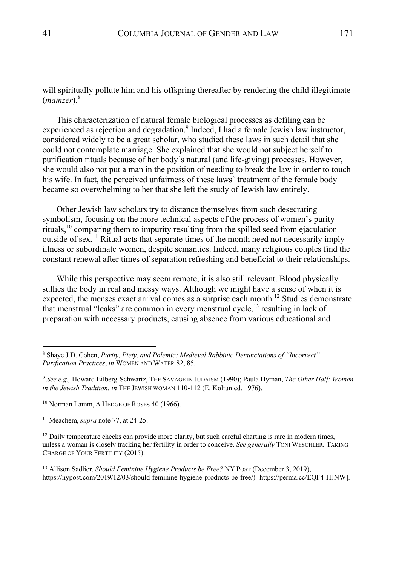will spiritually pollute him and his offspring thereafter by rendering the child illegitimate (*mamzer*). 8

This characterization of natural female biological processes as defiling can be experienced as rejection and degradation.<sup>9</sup> Indeed, I had a female Jewish law instructor, considered widely to be a great scholar, who studied these laws in such detail that she could not contemplate marriage. She explained that she would not subject herself to purification rituals because of her body's natural (and life-giving) processes. However, she would also not put a man in the position of needing to break the law in order to touch his wife. In fact, the perceived unfairness of these laws' treatment of the female body became so overwhelming to her that she left the study of Jewish law entirely.

Other Jewish law scholars try to distance themselves from such desecrating symbolism, focusing on the more technical aspects of the process of women's purity rituals, <sup>10</sup> comparing them to impurity resulting from the spilled seed from ejaculation outside of sex.<sup>11</sup> Ritual acts that separate times of the month need not necessarily imply illness or subordinate women, despite semantics. Indeed, many religious couples find the constant renewal after times of separation refreshing and beneficial to their relationships.

While this perspective may seem remote, it is also still relevant. Blood physically sullies the body in real and messy ways. Although we might have a sense of when it is expected, the menses exact arrival comes as a surprise each month.<sup>12</sup> Studies demonstrate that menstrual "leaks" are common in every menstrual cycle,<sup>13</sup> resulting in lack of preparation with necessary products, causing absence from various educational and

<sup>8</sup> Shaye J.D. Cohen, *Purity, Piety, and Polemic: Medieval Rabbinic Denunciations of "Incorrect" Purification Practices*, *in* WOMEN AND WATER 82, 85.

<sup>9</sup> *See e.g.,* Howard Eilberg-Schwartz, THE SAVAGE IN JUDAISM (1990); Paula Hyman, *The Other Half: Women in the Jewish Tradition*, *in* THE JEWISH WOMAN 110-112 (E. Koltun ed. 1976).

<sup>&</sup>lt;sup>10</sup> Norman Lamm, A HEDGE OF ROSES 40 (1966).

<sup>11</sup> Meachem, *supra* note 77, at 24-25.

 $12$  Daily temperature checks can provide more clarity, but such careful charting is rare in modern times, unless a woman is closely tracking her fertility in order to conceive. *See generally* TONI WESCHLER, TAKING CHARGE OF YOUR FERTILITY (2015).

<sup>13</sup> Allison Sadlier, *Should Feminine Hygiene Products be Free?* NY POST (December 3, 2019), https://nypost.com/2019/12/03/should-feminine-hygiene-products-be-free/) [https://perma.cc/EQF4-HJNW].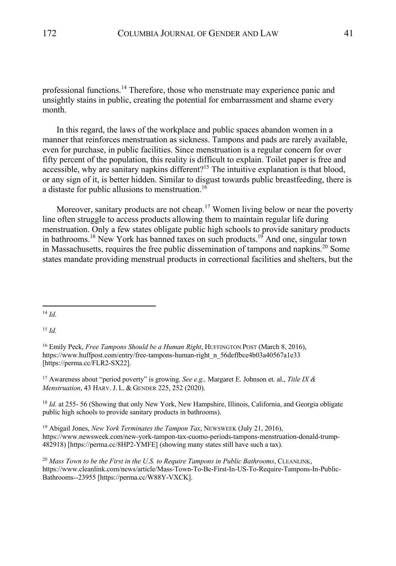professional functions.<sup>14</sup> Therefore, those who menstruate may experience panic and unsightly stains in public, creating the potential for embarrassment and shame every month.

In this regard, the laws of the workplace and public spaces abandon women in a manner that reinforces menstruation as sickness. Tampons and pads are rarely available, even for purchase, in public facilities. Since menstruation is a regular concern for over fifty percent of the population, this reality is difficult to explain. Toilet paper is free and accessible, why are sanitary napkins different?<sup>15</sup> The intuitive explanation is that blood, or any sign of it, is better hidden. Similar to disgust towards public breastfeeding, there is a distaste for public allusions to menstruation.<sup>16</sup>

Moreover, sanitary products are not cheap.<sup>17</sup> Women living below or near the poverty line often struggle to access products allowing them to maintain regular life during menstruation. Only a few states obligate public high schools to provide sanitary products in bathrooms.<sup>18</sup> New York has banned taxes on such products.<sup>19</sup> And one, singular town in Massachusetts, requires the free public dissemination of tampons and napkins.<sup>20</sup> Some states mandate providing menstrual products in correctional facilities and shelters, but the

 $15$  *Id.* 

<sup>17</sup> Awareness about "period poverty" is growing. *See e.g.,* Margaret E. Johnson et. al., *Title IX & Menstruation*, 43 HARV.J. L. & GENDER 225, 252 (2020).

<sup>18</sup> *Id.* at 255- 56 (Showing that only New York, New Hampshire, Illinois, California, and Georgia obligate public high schools to provide sanitary products in bathrooms).

<sup>19</sup> Abigail Jones, *New York Terminates the Tampon Tax*, NEWSWEEK (July 21, 2016), https://www.newsweek.com/new-york-tampon-tax-cuomo-periods-tampons-menstruation-donald-trump-482918) [https://perma.cc/8HP2-YMFE] (showing many states still have such a tax).

<sup>20</sup> *Mass Town to be the First in the U.S. to Require Tampons in Public Bathrooms*, CLEANLINK, https://www.cleanlink.com/news/article/Mass-Town-To-Be-First-In-US-To-Require-Tampons-In-Public-Bathrooms--23955 [https://perma.cc/W88Y-VXCK].

<sup>14</sup> *Id.*

<sup>&</sup>lt;sup>16</sup> Emily Peck, *Free Tampons Should be a Human Right*, HUFFINGTON POST (March 8, 2016), https://www.huffpost.com/entry/free-tampons-human-right\_n\_56deffbce4b03a40567a1e33 [https://perma.cc/FLR2-SX22].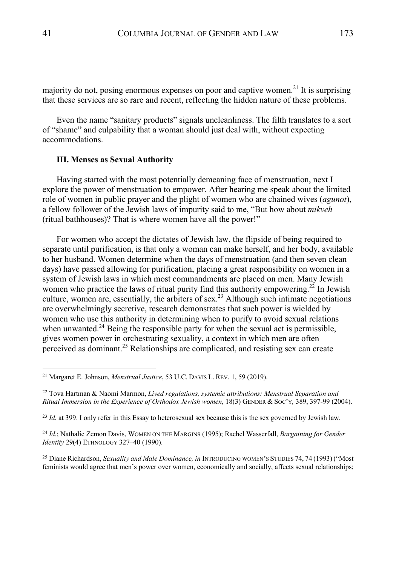majority do not, posing enormous expenses on poor and captive women.<sup>21</sup> It is surprising that these services are so rare and recent, reflecting the hidden nature of these problems.

Even the name "sanitary products" signals uncleanliness. The filth translates to a sort of "shame" and culpability that a woman should just deal with, without expecting accommodations.

## **III. Menses as Sexual Authority**

Having started with the most potentially demeaning face of menstruation, next I explore the power of menstruation to empower. After hearing me speak about the limited role of women in public prayer and the plight of women who are chained wives (*agunot*), a fellow follower of the Jewish laws of impurity said to me, "But how about *mikveh* (ritual bathhouses)? That is where women have all the power!"

For women who accept the dictates of Jewish law, the flipside of being required to separate until purification, is that only a woman can make herself, and her body, available to her husband. Women determine when the days of menstruation (and then seven clean days) have passed allowing for purification, placing a great responsibility on women in a system of Jewish laws in which most commandments are placed on men. Many Jewish women who practice the laws of ritual purity find this authority empowering.<sup>22</sup> In Jewish culture, women are, essentially, the arbiters of sex.<sup>23</sup> Although such intimate negotiations are overwhelmingly secretive, research demonstrates that such power is wielded by women who use this authority in determining when to purify to avoid sexual relations when unwanted.<sup>24</sup> Being the responsible party for when the sexual act is permissible, gives women power in orchestrating sexuality, a context in which men are often perceived as dominant. <sup>25</sup> Relationships are complicated, and resisting sex can create

<sup>21</sup> Margaret E. Johnson, *Menstrual Justice*, 53 U.C. DAVIS L. REV. 1, 59 (2019).

<sup>22</sup> Tova Hartman & Naomi Marmon, *Lived regulations, systemic attributions: Menstrual Separation and Ritual Immersion in the Experience of Orthodox Jewish women*, 18(3) GENDER & SOC'Y*,* 389, 397-99 (2004).

<sup>23</sup> *Id.* at 399. I only refer in this Essay to heterosexual sex because this is the sex governed by Jewish law.

<sup>24</sup> *Id.*; Nathalie Zemon Davis, WOMEN ON THE MARGINS (1995); Rachel Wasserfall, *Bargaining for Gender Identity* 29(4) ETHNOLOGY 327–40 (1990).

<sup>25</sup> Diane Richardson, *Sexuality and Male Dominance, in* INTRODUCING WOMEN'S STUDIES 74, 74 (1993) ("Most feminists would agree that men's power over women, economically and socially, affects sexual relationships;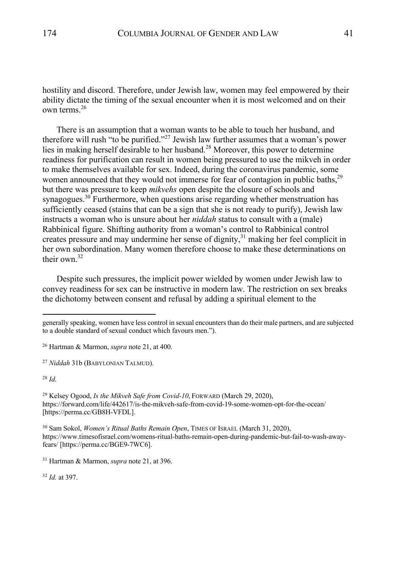hostility and discord. Therefore, under Jewish law, women may feel empowered by their ability dictate the timing of the sexual encounter when it is most welcomed and on their own terms. 26

There is an assumption that a woman wants to be able to touch her husband, and therefore will rush "to be purified."27 Jewish law further assumes that a woman's power lies in making herself desirable to her husband.<sup>28</sup> Moreover, this power to determine readiness for purification can result in women being pressured to use the mikveh in order to make themselves available for sex. Indeed, during the coronavirus pandemic, some women announced that they would not immerse for fear of contagion in public baths,<sup>29</sup> but there was pressure to keep *mikvehs* open despite the closure of schools and synagogues.<sup>30</sup> Furthermore, when questions arise regarding whether menstruation has sufficiently ceased (stains that can be a sign that she is not ready to purify), Jewish law instructs a woman who is unsure about her *niddah* status to consult with a (male) Rabbinical figure. Shifting authority from a woman's control to Rabbinical control creates pressure and may undermine her sense of dignity,<sup>31</sup> making her feel complicit in her own subordination. Many women therefore choose to make these determinations on their own  $32$ 

Despite such pressures, the implicit power wielded by women under Jewish law to convey readiness for sex can be instructive in modern law. The restriction on sex breaks the dichotomy between consent and refusal by adding a spiritual element to the

<sup>28</sup> *Id.*

<sup>29</sup> Kelsey Ogood, *Is the Mikveh Safe from Covid-10*, FORWARD (March 29, 2020), https://forward.com/life/442617/is-the-mikveh-safe-from-covid-19-some-women-opt-for-the-ocean/ [https://perma.cc/GB8H-VFDL].

<sup>30</sup> Sam Sokol, *Women's Ritual Baths Remain Open*, TIMES OF ISRAEL (March 31, 2020), https://www.timesofisrael.com/womens-ritual-baths-remain-open-during-pandemic-but-fail-to-wash-awayfears/ [https://perma.cc/BGE9-7WC6].

<sup>32</sup> *Id.* at 397.

generally speaking, women have less control in sexual encounters than do their male partners, and are subjected to a double standard of sexual conduct which favours men.").

<sup>26</sup> Hartman & Marmon, *supra* note 21, at 400.

<sup>27</sup> *Niddah* 31b (BABYLONIAN TALMUD).

<sup>31</sup> Hartman & Marmon, *supra* note 21, at 396.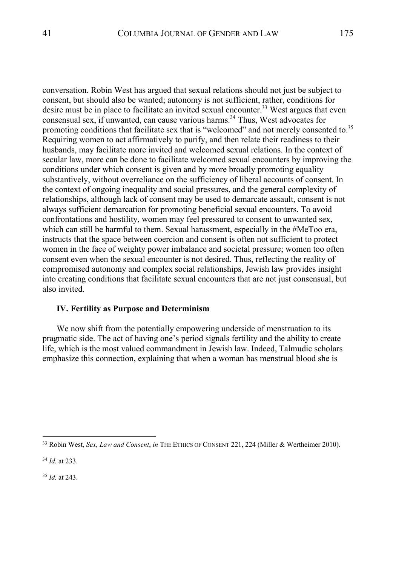conversation. Robin West has argued that sexual relations should not just be subject to consent, but should also be wanted; autonomy is not sufficient, rather, conditions for desire must be in place to facilitate an invited sexual encounter.<sup>33</sup> West argues that even consensual sex, if unwanted, can cause various harms.<sup>34</sup> Thus, West advocates for promoting conditions that facilitate sex that is "welcomed" and not merely consented to.<sup>35</sup> Requiring women to act affirmatively to purify, and then relate their readiness to their husbands, may facilitate more invited and welcomed sexual relations. In the context of secular law, more can be done to facilitate welcomed sexual encounters by improving the conditions under which consent is given and by more broadly promoting equality substantively, without overreliance on the sufficiency of liberal accounts of consent. In the context of ongoing inequality and social pressures, and the general complexity of relationships, although lack of consent may be used to demarcate assault, consent is not always sufficient demarcation for promoting beneficial sexual encounters. To avoid confrontations and hostility, women may feel pressured to consent to unwanted sex, which can still be harmful to them. Sexual harassment, especially in the #MeToo era, instructs that the space between coercion and consent is often not sufficient to protect women in the face of weighty power imbalance and societal pressure; women too often consent even when the sexual encounter is not desired. Thus, reflecting the reality of compromised autonomy and complex social relationships, Jewish law provides insight into creating conditions that facilitate sexual encounters that are not just consensual, but also invited.

## **IV. Fertility as Purpose and Determinism**

We now shift from the potentially empowering underside of menstruation to its pragmatic side. The act of having one's period signals fertility and the ability to create life, which is the most valued commandment in Jewish law. Indeed, Talmudic scholars emphasize this connection, explaining that when a woman has menstrual blood she is

<sup>34</sup> *Id.* at 233.

<sup>35</sup> *Id.* at 243.

<sup>33</sup> Robin West, *Sex, Law and Consent*, *in* THE ETHICS OF CONSENT 221, 224 (Miller & Wertheimer 2010).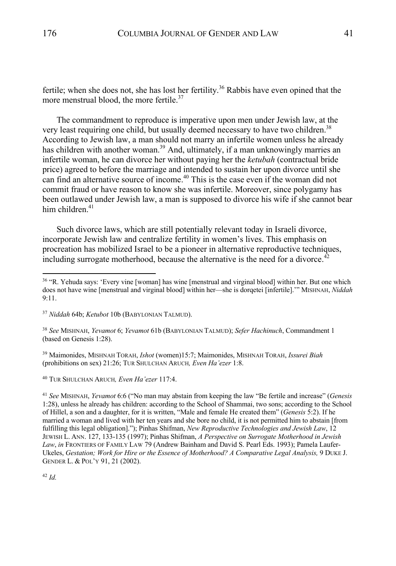fertile; when she does not, she has lost her fertility.<sup>36</sup> Rabbis have even opined that the more menstrual blood, the more fertile.<sup>37</sup>

The commandment to reproduce is imperative upon men under Jewish law, at the very least requiring one child, but usually deemed necessary to have two children.<sup>38</sup> According to Jewish law, a man should not marry an infertile women unless he already has children with another woman.<sup>39</sup> And, ultimately, if a man unknowingly marries an infertile woman, he can divorce her without paying her the *ketubah* (contractual bride price) agreed to before the marriage and intended to sustain her upon divorce until she can find an alternative source of income. <sup>40</sup> This is the case even if the woman did not commit fraud or have reason to know she was infertile. Moreover, since polygamy has been outlawed under Jewish law, a man is supposed to divorce his wife if she cannot bear him children. $41$ 

Such divorce laws, which are still potentially relevant today in Israeli divorce, incorporate Jewish law and centralize fertility in women's lives. This emphasis on procreation has mobilized Israel to be a pioneer in alternative reproductive techniques, including surrogate motherhood, because the alternative is the need for a divorce.<sup>42</sup>

<sup>39</sup> Maimonides, MISHNAH TORAH, *Ishot* (women)15:7; Maimonides, MISHNAH TORAH, *Issurei Biah* (prohibitions on sex) 21:26; TUR SHULCHAN ARUCH*, Even Ha'ezer* 1:8.

<sup>40</sup> TUR SHULCHAN ARUCH*, Even Ha'ezer* 117:4.

<sup>41</sup> *See* MISHNAH, *Yevamot* 6:6 ("No man may abstain from keeping the law "Be fertile and increase" (*Genesis*  1:28), unless he already has children: according to the School of Shammai, two sons; according to the School of Hillel, a son and a daughter, for it is written, "Male and female He created them" (*Genesis* 5:2). If he married a woman and lived with her ten years and she bore no child, it is not permitted him to abstain [from fulfilling this legal obligation]."); Pinhas Shifman, *New Reproductive Technologies and Jewish Law*, 12 JEWISH L. ANN. 127, 133-135 (1997); Pinhas Shifman, *A Perspective on Surrogate Motherhood in Jewish Law*, *in* FRONTIERS OF FAMILY LAW 79 (Andrew Bainham and David S. Pearl Eds. 1993); Pamela Laufer-Ukeles, *Gestation; Work for Hire or the Essence of Motherhood? A Comparative Legal Analysis,* 9 DUKE J. GENDER L. & POL'Y 91, 21 (2002).

<sup>42</sup> *Id.*

<sup>36</sup> "R. Yehuda says: 'Every vine [woman] has wine [menstrual and virginal blood] within her. But one which does not have wine [menstrual and virginal blood] within her—she is dorqetei [infertile].'" MISHNAH, *Niddah* 9:11.

<sup>37</sup> *Niddah* 64b; *Ketubot* 10b (BABYLONIAN TALMUD).

<sup>38</sup> *See* MISHNAH, *Yevamot* 6; *Yevamot* 61b (BABYLONIAN TALMUD); *Sefer Hachinuch*, Commandment 1 (based on Genesis 1:28).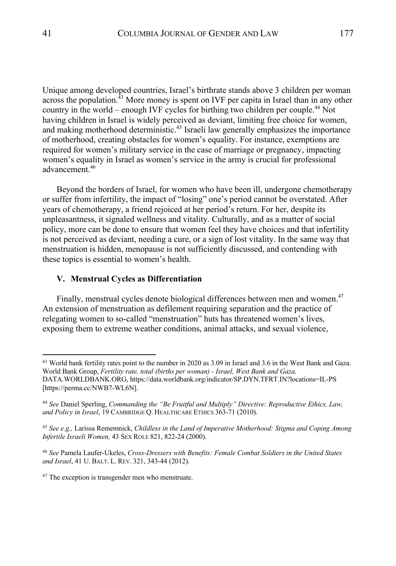Unique among developed countries, Israel's birthrate stands above 3 children per woman across the population.<sup> $43$ </sup> More money is spent on IVF per capita in Israel than in any other country in the world – enough IVF cycles for birthing two children per couple.44 Not having children in Israel is widely perceived as deviant, limiting free choice for women, and making motherhood deterministic.45 Israeli law generally emphasizes the importance of motherhood, creating obstacles for women's equality. For instance, exemptions are required for women's military service in the case of marriage or pregnancy, impacting women's equality in Israel as women's service in the army is crucial for professional advancement. 46

Beyond the borders of Israel, for women who have been ill, undergone chemotherapy or suffer from infertility, the impact of "losing" one's period cannot be overstated. After years of chemotherapy, a friend rejoiced at her period's return. For her, despite its unpleasantness, it signaled wellness and vitality. Culturally, and as a matter of social policy, more can be done to ensure that women feel they have choices and that infertility is not perceived as deviant, needing a cure, or a sign of lost vitality. In the same way that menstruation is hidden, menopause is not sufficiently discussed, and contending with these topics is essential to women's health.

### **V. Menstrual Cycles as Differentiation**

Finally, menstrual cycles denote biological differences between men and women.<sup>47</sup> An extension of menstruation as defilement requiring separation and the practice of relegating women to so-called "menstruation" huts has threatened women's lives, exposing them to extreme weather conditions, animal attacks, and sexual violence,

<sup>&</sup>lt;sup>43</sup> World bank fertility rates point to the number in 2020 as 3.09 in Israel and 3.6 in the West Bank and Gaza. World Bank Group, *Fertility rate, total (births per woman) - Israel, West Bank and Gaza,* DATA.WORLDBANK.ORG, https://data.worldbank.org/indicator/SP.DYN.TFRT.IN?locations=IL-PS [https://perma.cc/NWB7-WL6N].

<sup>44</sup> *See* Daniel Sperling, *Commanding the "Be Fruitful and Multiply" Directive: Reproductive Ethics, Law, and Policy in Israel*, 19 CAMBRIDGE Q. HEALTHCARE ETHICS 363-71 (2010).

<sup>45</sup> *See e.g.,* Larissa Rememnick, *Childless in the Land of Imperative Motherhood: Stigma and Coping Among Infertile Israeli Women,* 43 SEX ROLE 821, 822-24 (2000).

<sup>46</sup> *See* Pamela Laufer-Ukeles, *Cross-Dressers with Benefits: Female Combat Soldiers in the United States and Israel*, 41 U. BALT. L. REV. 321, 343-44 (2012).

<sup>&</sup>lt;sup>47</sup> The exception is transgender men who menstruate.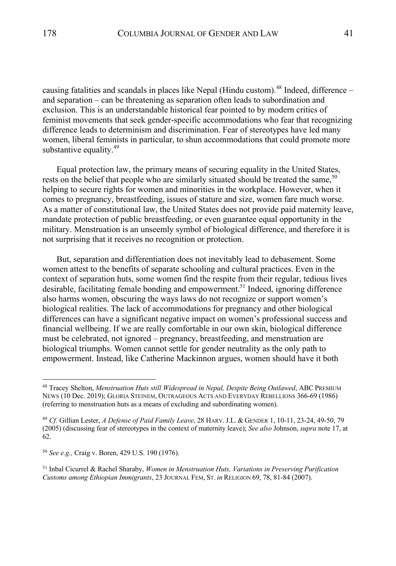causing fatalities and scandals in places like Nepal (Hindu custom).<sup>48</sup> Indeed, difference – and separation – can be threatening as separation often leads to subordination and exclusion. This is an understandable historical fear pointed to by modern critics of feminist movements that seek gender-specific accommodations who fear that recognizing difference leads to determinism and discrimination. Fear of stereotypes have led many women, liberal feminists in particular, to shun accommodations that could promote more substantive equality. $49$ 

Equal protection law, the primary means of securing equality in the United States, rests on the belief that people who are similarly situated should be treated the same,<sup>50</sup> helping to secure rights for women and minorities in the workplace. However, when it comes to pregnancy, breastfeeding, issues of stature and size, women fare much worse. As a matter of constitutional law, the United States does not provide paid maternity leave, mandate protection of public breastfeeding, or even guarantee equal opportunity in the military. Menstruation is an unseemly symbol of biological difference, and therefore it is not surprising that it receives no recognition or protection.

But, separation and differentiation does not inevitably lead to debasement. Some women attest to the benefits of separate schooling and cultural practices. Even in the context of separation huts, some women find the respite from their regular, tedious lives desirable, facilitating female bonding and empowerment. <sup>51</sup> Indeed, ignoring difference also harms women, obscuring the ways laws do not recognize or support women's biological realities. The lack of accommodations for pregnancy and other biological differences can have a significant negative impact on women's professional success and financial wellbeing. If we are really comfortable in our own skin, biological difference must be celebrated, not ignored – pregnancy, breastfeeding, and menstruation are biological triumphs. Women cannot settle for gender neutrality as the only path to empowerment. Instead, like Catherine Mackinnon argues, women should have it both

<sup>50</sup> *See e.g.,* Craig v. Boren, 429 U.S. 190 (1976).

<sup>51</sup> Inbal Cicurrel & Rachel Sharaby, *Women in Menstruation Huts, Variations in Preserving Purification Customs among Ethiopian Immigrants*, 23 JOURNAL FEM, ST. *in* RELIGION 69, 78, 81-84 (2007).

<sup>48</sup> Tracey Shelton, *Menstruation Huts still Widespread in Nepal, Despite Being Outlawed*, ABC PREMIUM NEWS (10 Dec. 2019); GLORIA STEINEM, OUTRAGEOUS ACTS AND EVERYDAY REBELLIONS 366-69 (1986) (referring to menstruation huts as a means of excluding and subordinating women).

<sup>49</sup> *Cf.* Gillian Lester, *A Defense of Paid Family Leave*, 28 HARV.J.L. & GENDER 1, 10-11, 23-24, 49-50, 79 (2005) (discussing fear of stereotypes in the context of maternity leave); *See also* Johnson, *supra* note 17, at 62.